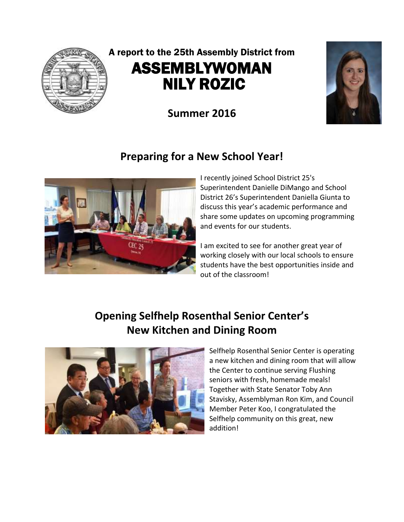

# A report to the 25th Assembly District from ASSEMBLYWOMAN NILY ROZIC

**Summer 2016**

## **Preparing for a New School Year!**



I recently joined School District 25's Superintendent Danielle DiMango and School District 26's Superintendent Daniella Giunta to discuss this year's academic performance and share some updates on upcoming programming and events for our students.

I am excited to see for another great year of working closely with our local schools to ensure students have the best opportunities inside and out of the classroom!

# **Opening Selfhelp Rosenthal Senior Center's New Kitchen and Dining Room**



Selfhelp Rosenthal Senior Center is operating a new kitchen and dining room that will allow the Center to continue serving Flushing seniors with fresh, homemade meals! Together with State Senator Toby Ann Stavisky, Assemblyman Ron Kim, and Council Member Peter Koo, I congratulated the Selfhelp community on this great, new addition!